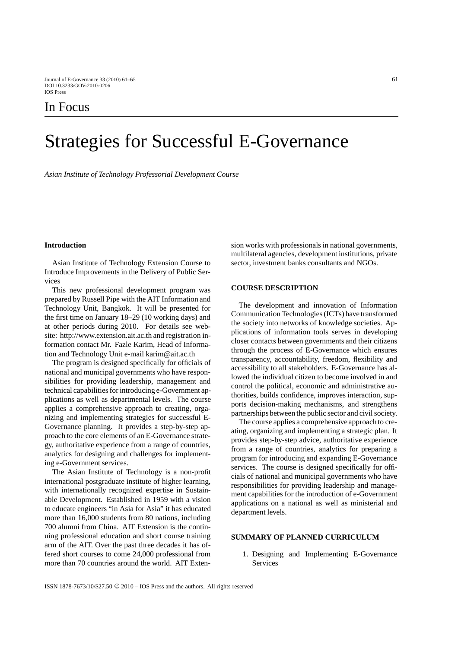# Strategies for Successful E-Governance

*Asian Institute of Technology Professorial Development Course*

#### **Introduction**

Asian Institute of Technology Extension Course to Introduce Improvements in the Delivery of Public Services

This new professional development program was prepared by Russell Pipe with the AIT Information and Technology Unit, Bangkok. It will be presented for the first time on January 18–29 (10 working days) and at other periods during 2010. For details see website: http://www.extension.ait.ac.th and registration information contact Mr. Fazle Karim, Head of Information and Technology Unit e-mail karim@ait.ac.th

The program is designed specifically for officials of national and municipal governments who have responsibilities for providing leadership, management and technical capabilities for introducing e-Government applications as well as departmental levels. The course applies a comprehensive approach to creating, organizing and implementing strategies for successful E-Governance planning. It provides a step-by-step approach to the core elements of an E-Governance strategy, authoritative experience from a range of countries, analytics for designing and challenges for implementing e-Government services.

The Asian Institute of Technology is a non-profit international postgraduate institute of higher learning, with internationally recognized expertise in Sustainable Development. Established in 1959 with a vision to educate engineers "in Asia for Asia" it has educated more than 16,000 students from 80 nations, including 700 alumni from China. AIT Extension is the continuing professional education and short course training arm of the AIT. Over the past three decades it has offered short courses to come 24,000 professional from more than 70 countries around the world. AIT Extension works with professionals in national governments, multilateral agencies, development institutions, private sector, investment banks consultants and NGOs.

# **COURSE DESCRIPTION**

The development and innovation of Information Communication Technologies (ICTs) have transformed the society into networks of knowledge societies. Applications of information tools serves in developing closer contacts between governments and their citizens through the process of E-Governance which ensures transparency, accountability, freedom, flexibility and accessibility to all stakeholders. E-Governance has allowed the individual citizen to become involved in and control the political, economic and administrative authorities, builds confidence, improves interaction, supports decision-making mechanisms, and strengthens partnerships between the public sector and civil society.

The course applies a comprehensive approach to creating, organizing and implementing a strategic plan. It provides step-by-step advice, authoritative experience from a range of countries, analytics for preparing a program for introducing and expanding E-Governance services. The course is designed specifically for officials of national and municipal governments who have responsibilities for providing leadership and management capabilities for the introduction of e-Government applications on a national as well as ministerial and department levels.

#### **SUMMARY OF PLANNED CURRICULUM**

1. Designing and Implementing E-Governance Services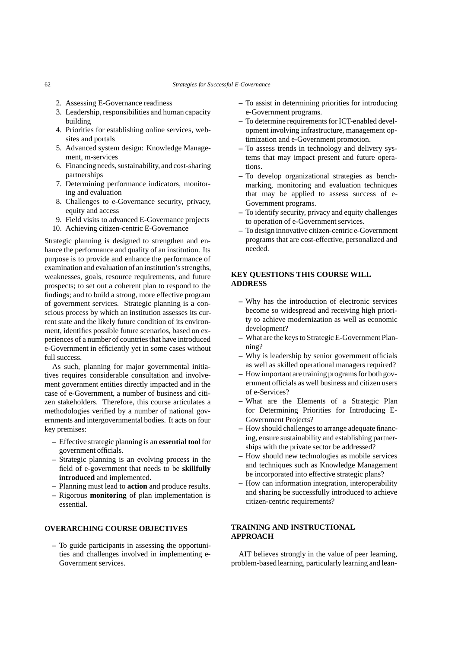- 2. Assessing E-Governance readiness
- 3. Leadership, responsibilities and human capacity building
- 4. Priorities for establishing online services, websites and portals
- 5. Advanced system design: Knowledge Management, m-services
- 6. Financing needs, sustainability, and cost-sharing partnerships
- 7. Determining performance indicators, monitoring and evaluation
- 8. Challenges to e-Governance security, privacy, equity and access
- 9. Field visits to advanced E-Governance projects
- 10. Achieving citizen-centric E-Governance

Strategic planning is designed to strengthen and enhance the performance and quality of an institution. Its purpose is to provide and enhance the performance of examination and evaluation of an institution's strengths, weaknesses, goals, resource requirements, and future prospects; to set out a coherent plan to respond to the findings; and to build a strong, more effective program of government services. Strategic planning is a conscious process by which an institution assesses its current state and the likely future condition of its environment, identifies possible future scenarios, based on experiences of a number of countries that have introduced e-Government in efficiently yet in some cases without full success.

As such, planning for major governmental initiatives requires considerable consultation and involvement government entities directly impacted and in the case of e-Government, a number of business and citizen stakeholders. Therefore, this course articulates a methodologies verified by a number of national governments and intergovernmental bodies. It acts on four key premises:

- **–** Effective strategic planning is an **essential tool** for government officials.
- **–** Strategic planning is an evolving process in the field of e-government that needs to be **skillfully introduced** and implemented.
- **–** Planning must lead to **action** and produce results.
- **–** Rigorous **monitoring** of plan implementation is essential.

# **OVERARCHING COURSE OBJECTIVES**

**–** To guide participants in assessing the opportunities and challenges involved in implementing e-Government services.

- **–** To assist in determining priorities for introducing e-Government programs.
- **–** To determine requirements for ICT-enabled development involving infrastructure, management optimization and e-Government promotion.
- **–** To assess trends in technology and delivery systems that may impact present and future operations.
- **–** To develop organizational strategies as benchmarking, monitoring and evaluation techniques that may be applied to assess success of e-Government programs.
- **–** To identify security, privacy and equity challenges to operation of e-Government services.
- **–** To design innovative citizen-centric e-Government programs that are cost-effective, personalized and needed.

# **KEY QUESTIONS THIS COURSE WILL ADDRESS**

- **–** Why has the introduction of electronic services become so widespread and receiving high priority to achieve modernization as well as economic development?
- **–** What are the keys to Strategic E-Government Planning?
- **–** Why is leadership by senior government officials as well as skilled operational managers required?
- **–** How important are training programs for both government officials as well business and citizen users of e-Services?
- **–** What are the Elements of a Strategic Plan for Determining Priorities for Introducing E-Government Projects?
- **–** How should challenges to arrange adequate financing, ensure sustainability and establishing partnerships with the private sector be addressed?
- **–** How should new technologies as mobile services and techniques such as Knowledge Management be incorporated into effective strategic plans?
- **–** How can information integration, interoperability and sharing be successfully introduced to achieve citizen-centric requirements?

# **TRAINING AND INSTRUCTIONAL APPROACH**

AIT believes strongly in the value of peer learning, problem-based learning, particularly learning and lean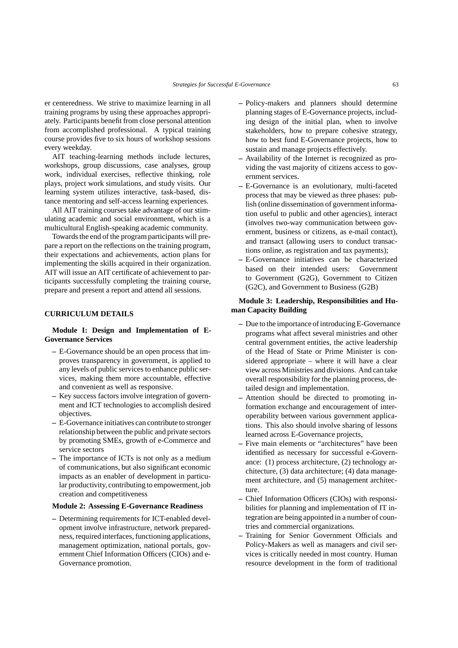er centeredness. We strive to maximize learning in all training programs by using these approaches appropriately. Participants benefit from close personal attention from accomplished professional. A typical training course provides five to six hours of workshop sessions every weekday.

AIT teaching-learning methods include lectures, workshops, group discussions, case analyses, group work, individual exercises, reflective thinking, role plays, project work simulations, and study visits. Our learning system utilizes interactive, task-based, distance mentoring and self-access learning experiences.

All AIT training courses take advantage of our stimulating academic and social environment, which is a multicultural English-speaking academic community.

Towards the end of the program participants will prepare a report on the reflections on the training program, their expectations and achievements, action plans for implementing the skills acquired in their organization. AIT will issue an AIT certificate of achievement to participants successfully completing the training course, prepare and present a report and attend all sessions.

#### **CURRICULUM DETAILS**

## **Module I: Design and Implementation of E-Governance Services**

- **–** E-Governance should be an open process that improves transparency in government, is applied to any levels of public services to enhance public services, making them more accountable, effective and convenient as well as responsive.
- **–** Key success factors involve integration of government and ICT technologies to accomplish desired objectives.
- **–** E-Governance initiatives can contribute to stronger relationship between the public and private sectors by promoting SMEs, growth of e-Commerce and service sectors
- **–** The importance of ICTs is not only as a medium of communications, but also significant economic impacts as an enabler of development in particular productivity, contributing to empowerment, job creation and competitiveness

#### **Module 2: Assessing E-Governance Readiness**

**–** Determining requirements for ICT-enabled development involve infrastructure, network preparedness, required interfaces, functioning applications, management optimization, national portals, government Chief Information Officers (CIOs) and e-Governance promotion.

- **–** Policy-makers and planners should determine planning stages of E-Governance projects, including design of the initial plan, when to involve stakeholders, how to prepare cohesive strategy, how to best fund E-Governance projects, how to sustain and manage projects effectively.
- **–** Availability of the Internet is recognized as providing the vast majority of citizens access to government services.
- **–** E-Governance is an evolutionary, multi-faceted process that may be viewed as three phases: publish (online dissemination of government information useful to public and other agencies), interact (involves two-way communication between government, business or citizens, as e-mail contact), and transact (allowing users to conduct transactions online, as registration and tax payments);
- **–** E-Governance initiatives can be characterized based on their intended users: Government to Government (G2G), Government to Citizen (G2C), and Government to Business (G2B)

# **Module 3: Leadership, Responsibilities and Human Capacity Building**

- **–** Due to the importance of introducing E-Governance programs what affect several ministries and other central government entities, the active leadership of the Head of State or Prime Minister is considered appropriate – where it will have a clear view across Ministries and divisions. And can take overall responsibility for the planning process, detailed design and implementation.
- **–** Attention should be directed to promoting information exchange and encouragement of interoperability between various government applications. This also should involve sharing of lessons learned across E-Governance projects,
- **–** Five main elements or "architectures" have been identified as necessary for successful e-Governance: (1) process architecture, (2) technology architecture, (3) data architecture; (4) data management architecture, and (5) management architecture.
- **–** Chief Information Officers (CIOs) with responsibilities for planning and implementation of IT integration are being appointed in a number of countries and commercial organizations.
- **–** Training for Senior Government Officials and Policy-Makers as well as managers and civil services is critically needed in most country. Human resource development in the form of traditional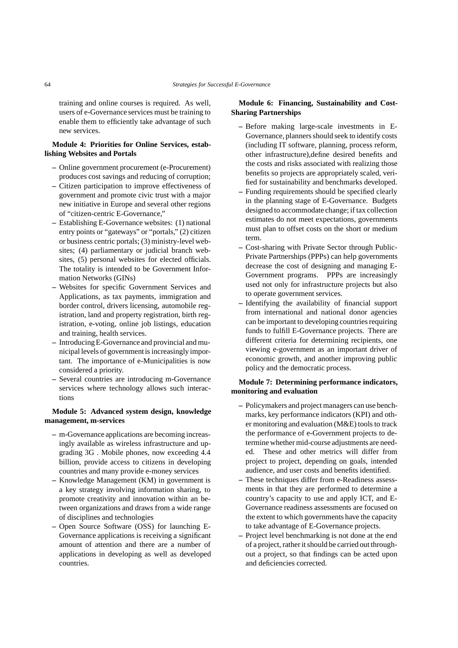training and online courses is required. As well, users of e-Governance services must be training to enable them to efficiently take advantage of such new services.

## **Module 4: Priorities for Online Services, establishing Websites and Portals**

- **–** Online government procurement (e-Procurement) produces cost savings and reducing of corruption;
- **–** Citizen participation to improve effectiveness of government and promote civic trust with a major new initiative in Europe and several other regions of "citizen-centric E-Governance,"
- **–** Establishing E-Governance websites: (1) national entry points or "gateways" or "portals," (2) citizen or business centric portals; (3) ministry-level websites; (4) parliamentary or judicial branch websites, (5) personal websites for elected officials. The totality is intended to be Government Information Networks (GINs)
- **–** Websites for specific Government Services and Applications, as tax payments, immigration and border control, drivers licensing, automobile registration, land and property registration, birth registration, e-voting, online job listings, education and training, health services.
- **–** Introducing E-Governance and provincial and municipal levels of governmentis increasingly important. The importance of e-Municipalities is now considered a priority.
- **–** Several countries are introducing m-Governance services where technology allows such interactions

# **Module 5: Advanced system design, knowledge management, m-services**

- **–** m-Governance applications are becoming increasingly available as wireless infrastructure and upgrading 3G . Mobile phones, now exceeding 4.4 billion, provide access to citizens in developing countries and many provide e-money services
- **–** Knowledge Management (KM) in government is a key strategy involving information sharing, to promote creativity and innovation within an between organizations and draws from a wide range of disciplines and technologies
- **–** Open Source Software (OSS) for launching E-Governance applications is receiving a significant amount of attention and there are a number of applications in developing as well as developed countries.

#### **Module 6: Financing, Sustainability and Cost-Sharing Partnerships**

- **–** Before making large-scale investments in E-Governance, planners should seek to identify costs (including IT software, planning, process reform, other infrastructure),define desired benefits and the costs and risks associated with realizing those benefits so projects are appropriately scaled, verified for sustainability and benchmarks developed.
- **–** Funding requirements should be specified clearly in the planning stage of E-Governance. Budgets designed to accommodate change; if tax collection estimates do not meet expectations, governments must plan to offset costs on the short or medium term.
- **–** Cost-sharing with Private Sector through Public-Private Partnerships (PPPs) can help governments decrease the cost of designing and managing E-Government programs. PPPs are increasingly used not only for infrastructure projects but also to operate government services.
- **–** Identifying the availability of financial support from international and national donor agencies can be important to developing countries requiring funds to fulfill E-Governance projects. There are different criteria for determining recipients, one viewing e-government as an important driver of economic growth, and another improving public policy and the democratic process.

# **Module 7: Determining performance indicators, monitoring and evaluation**

- **–** Policymakers and project managers can use benchmarks, key performance indicators (KPI) and other monitoring and evaluation (M&E) tools to track the performance of e-Government projects to determine whether mid-course adjustments are needed. These and other metrics will differ from project to project, depending on goals, intended audience, and user costs and benefits identified.
- **–** These techniques differ from e-Readiness assessments in that they are performed to determine a country's capacity to use and apply ICT, and E-Governance readiness assessments are focused on the extent to which governments have the capacity to take advantage of E-Governance projects.
- **–** Project level benchmarking is not done at the end of a project, rather it should be carried out throughout a project, so that findings can be acted upon and deficiencies corrected.